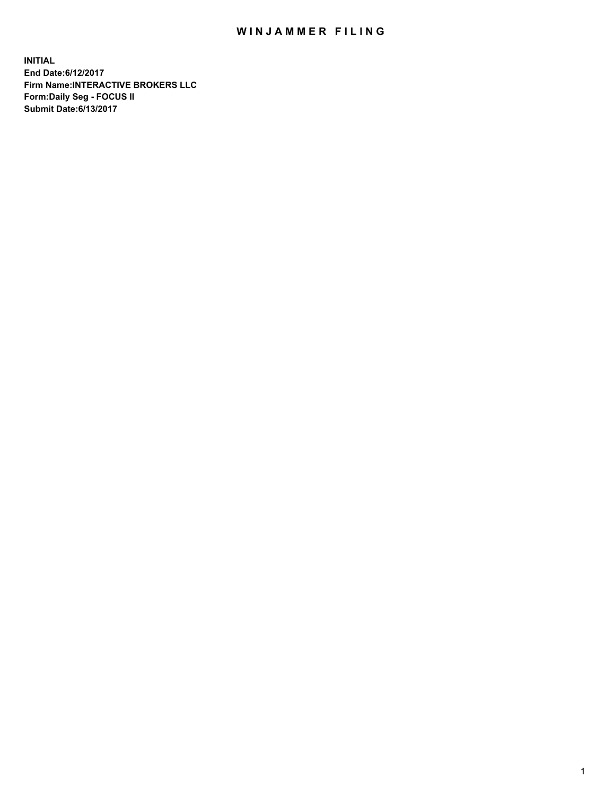## WIN JAMMER FILING

**INITIAL End Date:6/12/2017 Firm Name:INTERACTIVE BROKERS LLC Form:Daily Seg - FOCUS II Submit Date:6/13/2017**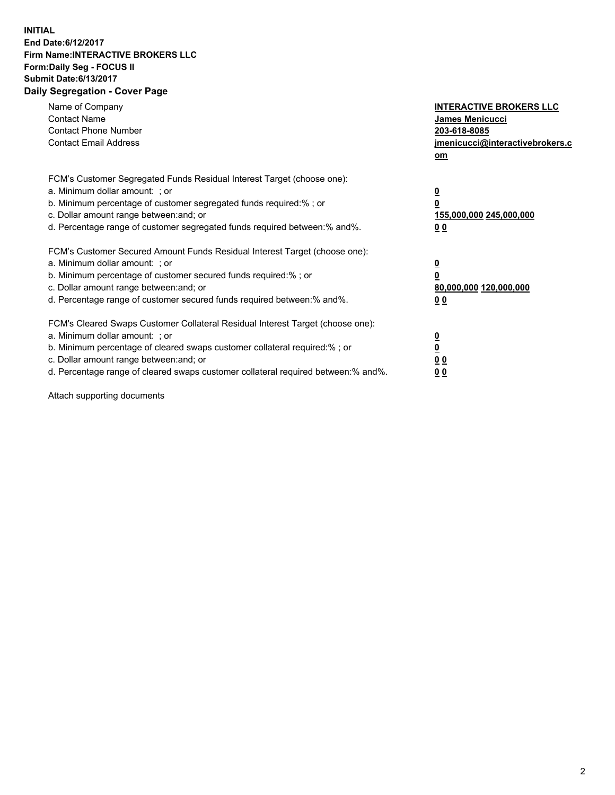## **INITIAL End Date:6/12/2017 Firm Name:INTERACTIVE BROKERS LLC Form:Daily Seg - FOCUS II Submit Date:6/13/2017 Daily Segregation - Cover Page**

| Name of Company<br><b>Contact Name</b><br><b>Contact Phone Number</b><br><b>Contact Email Address</b>                                                                                                                                                                                                                          | <b>INTERACTIVE BROKERS LLC</b><br><b>James Menicucci</b><br>203-618-8085<br>jmenicucci@interactivebrokers.c<br>om |
|--------------------------------------------------------------------------------------------------------------------------------------------------------------------------------------------------------------------------------------------------------------------------------------------------------------------------------|-------------------------------------------------------------------------------------------------------------------|
| FCM's Customer Segregated Funds Residual Interest Target (choose one):<br>a. Minimum dollar amount: ; or<br>b. Minimum percentage of customer segregated funds required:% ; or<br>c. Dollar amount range between: and; or<br>d. Percentage range of customer segregated funds required between: % and %.                       | $\overline{\mathbf{0}}$<br>0<br>155,000,000 245,000,000<br>00                                                     |
| FCM's Customer Secured Amount Funds Residual Interest Target (choose one):<br>a. Minimum dollar amount: ; or<br>b. Minimum percentage of customer secured funds required:%; or<br>c. Dollar amount range between: and; or<br>d. Percentage range of customer secured funds required between: % and %.                          | $\overline{\mathbf{0}}$<br>0<br>80,000,000 120,000,000<br>00                                                      |
| FCM's Cleared Swaps Customer Collateral Residual Interest Target (choose one):<br>a. Minimum dollar amount: ; or<br>b. Minimum percentage of cleared swaps customer collateral required:% ; or<br>c. Dollar amount range between: and; or<br>d. Percentage range of cleared swaps customer collateral required between:% and%. | $\overline{\mathbf{0}}$<br>$\overline{\mathbf{0}}$<br>00<br>0 <sub>0</sub>                                        |

Attach supporting documents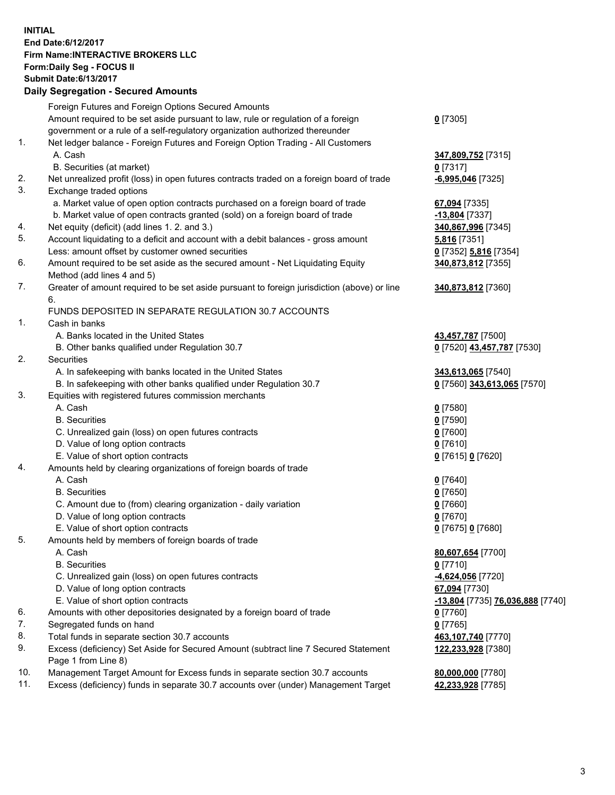## **INITIAL End Date:6/12/2017 Firm Name:INTERACTIVE BROKERS LLC Form:Daily Seg - FOCUS II Submit Date:6/13/2017**<br>**Daily Segregation - Secured Amounts Daily Segregation - Seture**

|     | Daily Segregation - Secured Amounts                                                                          |                                  |
|-----|--------------------------------------------------------------------------------------------------------------|----------------------------------|
|     | Foreign Futures and Foreign Options Secured Amounts                                                          |                                  |
|     | Amount required to be set aside pursuant to law, rule or regulation of a foreign                             | $0$ [7305]                       |
|     | government or a rule of a self-regulatory organization authorized thereunder                                 |                                  |
| 1.  | Net ledger balance - Foreign Futures and Foreign Option Trading - All Customers                              |                                  |
|     | A. Cash                                                                                                      | 347,809,752 [7315]               |
|     | B. Securities (at market)                                                                                    | $0$ [7317]                       |
| 2.  | Net unrealized profit (loss) in open futures contracts traded on a foreign board of trade                    |                                  |
| 3.  | Exchange traded options                                                                                      | $-6,995,046$ [7325]              |
|     |                                                                                                              |                                  |
|     | a. Market value of open option contracts purchased on a foreign board of trade                               | 67,094 [7335]                    |
|     | b. Market value of open contracts granted (sold) on a foreign board of trade                                 | -13,804 [7337]                   |
| 4.  | Net equity (deficit) (add lines 1.2. and 3.)                                                                 | 340,867,996 [7345]               |
| 5.  | Account liquidating to a deficit and account with a debit balances - gross amount                            | 5,816 [7351]                     |
|     | Less: amount offset by customer owned securities                                                             | 0 [7352] 5,816 [7354]            |
| 6.  | Amount required to be set aside as the secured amount - Net Liquidating Equity<br>Method (add lines 4 and 5) | 340,873,812 [7355]               |
| 7.  | Greater of amount required to be set aside pursuant to foreign jurisdiction (above) or line                  | 340,873,812 [7360]               |
|     | 6.                                                                                                           |                                  |
|     | FUNDS DEPOSITED IN SEPARATE REGULATION 30.7 ACCOUNTS                                                         |                                  |
| 1.  | Cash in banks                                                                                                |                                  |
|     | A. Banks located in the United States                                                                        | 43,457,787 [7500]                |
|     | B. Other banks qualified under Regulation 30.7                                                               | 0 [7520] 43,457,787 [7530]       |
| 2.  | Securities                                                                                                   |                                  |
|     |                                                                                                              |                                  |
|     | A. In safekeeping with banks located in the United States                                                    | 343,613,065 [7540]               |
| 3.  | B. In safekeeping with other banks qualified under Regulation 30.7                                           | 0 [7560] 343,613,065 [7570]      |
|     | Equities with registered futures commission merchants                                                        |                                  |
|     | A. Cash                                                                                                      | $0$ [7580]                       |
|     | <b>B.</b> Securities                                                                                         | $0$ [7590]                       |
|     | C. Unrealized gain (loss) on open futures contracts                                                          | $0$ [7600]                       |
|     | D. Value of long option contracts                                                                            | $0$ [7610]                       |
|     | E. Value of short option contracts                                                                           | 0 [7615] 0 [7620]                |
| 4.  | Amounts held by clearing organizations of foreign boards of trade                                            |                                  |
|     | A. Cash                                                                                                      | $0$ [7640]                       |
|     | <b>B.</b> Securities                                                                                         | $0$ [7650]                       |
|     | C. Amount due to (from) clearing organization - daily variation                                              | $0$ [7660]                       |
|     | D. Value of long option contracts                                                                            | $0$ [7670]                       |
|     | E. Value of short option contracts                                                                           | 0 [7675] 0 [7680]                |
| 5.  | Amounts held by members of foreign boards of trade                                                           |                                  |
|     | A. Cash                                                                                                      | 80,607,654 [7700]                |
|     | <b>B.</b> Securities                                                                                         | $0$ [7710]                       |
|     | C. Unrealized gain (loss) on open futures contracts                                                          | -4,624,056 [7720]                |
|     | D. Value of long option contracts                                                                            | 67,094 [7730]                    |
|     | E. Value of short option contracts                                                                           | -13,804 [7735] 76,036,888 [7740] |
| 6.  | Amounts with other depositories designated by a foreign board of trade                                       | $0$ [7760]                       |
| 7.  | Segregated funds on hand                                                                                     | $0$ [7765]                       |
| 8.  | Total funds in separate section 30.7 accounts                                                                | 463,107,740 [7770]               |
| 9.  | Excess (deficiency) Set Aside for Secured Amount (subtract line 7 Secured Statement                          | 122,233,928 [7380]               |
|     | Page 1 from Line 8)                                                                                          |                                  |
| 10. | Management Target Amount for Excess funds in separate section 30.7 accounts                                  | 80,000,000 [7780]                |
| 11. | Excess (deficiency) funds in separate 30.7 accounts over (under) Management Target                           | 42,233,928 [7785]                |
|     |                                                                                                              |                                  |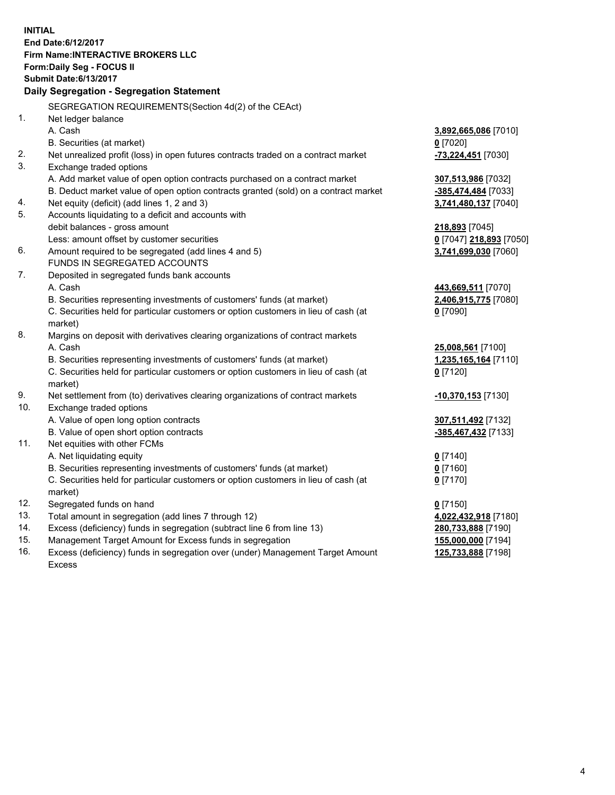**INITIAL End Date:6/12/2017 Firm Name:INTERACTIVE BROKERS LLC Form:Daily Seg - FOCUS II Submit Date:6/13/2017 Daily Segregation - Segregation Statement** SEGREGATION REQUIREMENTS(Section 4d(2) of the CEAct) 1. Net ledger balance A. Cash **3,892,665,086** [7010] B. Securities (at market) **0** [7020] 2. Net unrealized profit (loss) in open futures contracts traded on a contract market **-73,224,451** [7030] 3. Exchange traded options A. Add market value of open option contracts purchased on a contract market **307,513,986** [7032] B. Deduct market value of open option contracts granted (sold) on a contract market **-385,474,484** [7033] 4. Net equity (deficit) (add lines 1, 2 and 3) **3,741,480,137** [7040] 5. Accounts liquidating to a deficit and accounts with debit balances - gross amount **218,893** [7045] Less: amount offset by customer securities **0** [7047] **218,893** [7050] 6. Amount required to be segregated (add lines 4 and 5) **3,741,699,030** [7060] FUNDS IN SEGREGATED ACCOUNTS 7. Deposited in segregated funds bank accounts A. Cash **443,669,511** [7070] B. Securities representing investments of customers' funds (at market) **2,406,915,775** [7080] C. Securities held for particular customers or option customers in lieu of cash (at market) **0** [7090] 8. Margins on deposit with derivatives clearing organizations of contract markets A. Cash **25,008,561** [7100] B. Securities representing investments of customers' funds (at market) **1,235,165,164** [7110] C. Securities held for particular customers or option customers in lieu of cash (at market) **0** [7120] 9. Net settlement from (to) derivatives clearing organizations of contract markets **-10,370,153** [7130] 10. Exchange traded options A. Value of open long option contracts **307,511,492** [7132] B. Value of open short option contracts **-385,467,432** [7133] 11. Net equities with other FCMs A. Net liquidating equity **0** [7140] B. Securities representing investments of customers' funds (at market) **0** [7160] C. Securities held for particular customers or option customers in lieu of cash (at market) **0** [7170] 12. Segregated funds on hand **0** [7150] 13. Total amount in segregation (add lines 7 through 12) **4,022,432,918** [7180] 14. Excess (deficiency) funds in segregation (subtract line 6 from line 13) **280,733,888** [7190] 15. Management Target Amount for Excess funds in segregation **155,000,000** [7194] 16. Excess (deficiency) funds in segregation over (under) Management Target Amount **125,733,888** [7198]

Excess